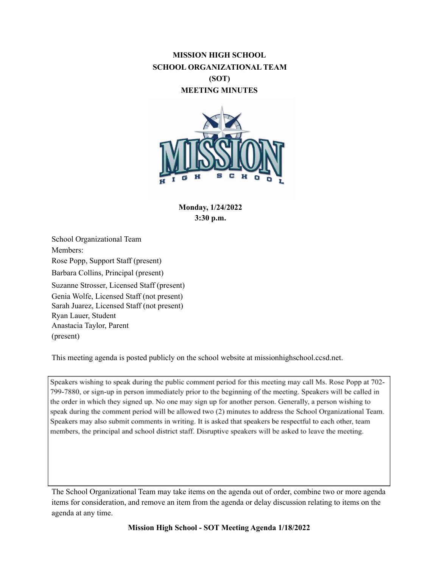# **MISSION HIGH SCHOOL SCHOOL ORGANIZATIONAL TEAM (SOT) MEETING MINUTES**



**Monday, 1/24/2022 3:30 p.m.**

School Organizational Team Members: Rose Popp, Support Staff (present) Barbara Collins, Principal (present) Suzanne Strosser, Licensed Staff (present) Genia Wolfe, Licensed Staff (not present) Sarah Juarez, Licensed Staff (not present) Ryan Lauer, Student Anastacia Taylor, Parent (present)

This meeting agenda is posted publicly on the school website at missionhighschool.ccsd.net.

Speakers wishing to speak during the public comment period for this meeting may call Ms. Rose Popp at 702-799-7880, or sign-up in person immediately prior to the beginning of the meeting. Speakers will be called in the order in which they signed up. No one may sign up for another person. Generally, a person wishing to speak during the comment period will be allowed two (2) minutes to address the School Organizational Team. Speakers may also submit comments in writing. It is asked that speakers be respectful to each other, team members, the principal and school district staff. Disruptive speakers will be asked to leave the meeting.

The School Organizational Team may take items on the agenda out of order, combine two or more agenda items for consideration, and remove an item from the agenda or delay discussion relating to items on the agenda at any time.

**Mission High School - SOT Meeting Agenda 1/18/2022**